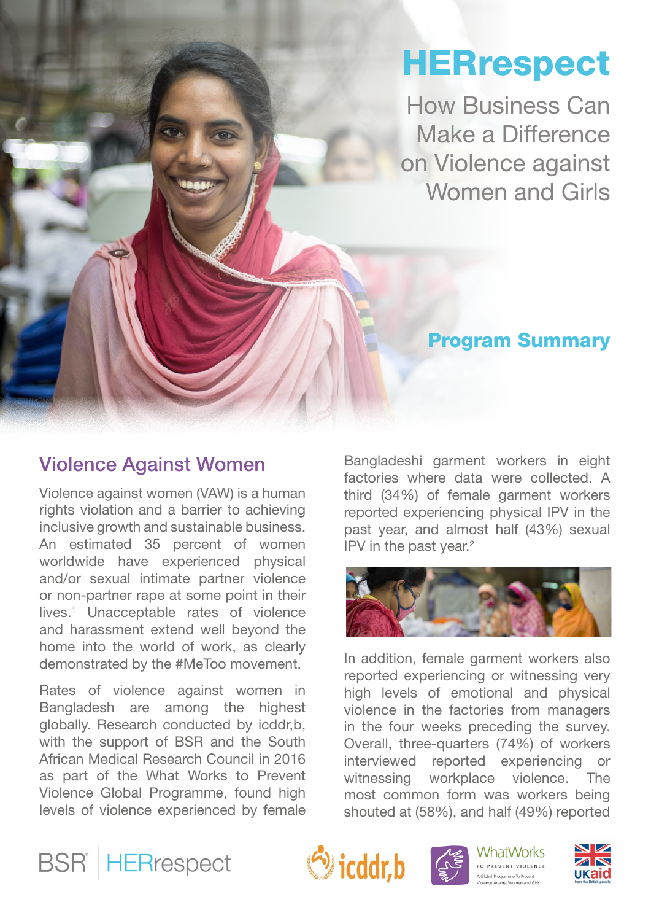# **HERrespect**

How Business Can Make a Difference on Violence against Women and Girls

# Program Summary

# Violence Against Women

Violence against women (VAW) is a human rights violation and a barrier to achieving inclusive growth and sustainable business. An estimated 35 percent of women worldwide have experienced physical and/or sexual intimate partner violence or non-partner rape at some point in their lives.1 Unacceptable rates of violence and harassment extend well beyond the home into the world of work, as clearly demonstrated by the #MeToo movement.

Rates of violence against women in Bangladesh are among the highest globally. Research conducted by icddr,b, with the support of BSR and the South African Medical Research Council in 2016 as part of the What Works to Prevent Violence Global Programme, found high levels of violence experienced by female

Bangladeshi garment workers in eight factories where data were collected. A third (34%) of female garment workers reported experiencing physical IPV in the past year, and almost half (43%) sexual IPV in the past year.2



In addition, female garment workers also reported experiencing or witnessing very high levels of emotional and physical violence in the factories from managers in the four weeks preceding the survey. Overall, three-quarters (74%) of workers interviewed reported experiencing or witnessing workplace violence. The most common form was workers being shouted at (58%), and half (49%) reported









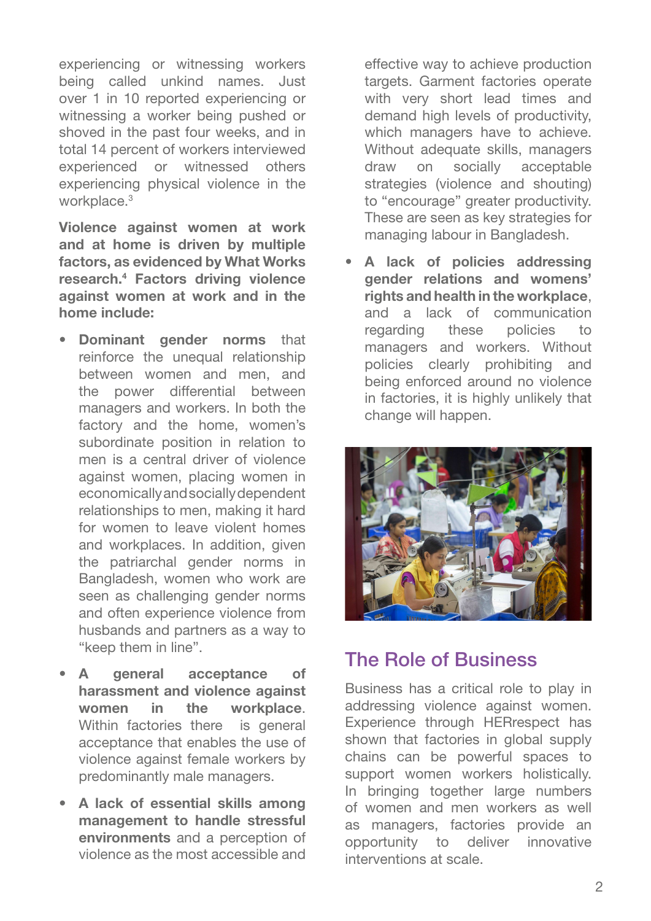experiencing or witnessing workers being called unkind names. Just over 1 in 10 reported experiencing or witnessing a worker being pushed or shoved in the past four weeks, and in total 14 percent of workers interviewed experienced or witnessed others experiencing physical violence in the workplace.<sup>3</sup>

Violence against women at work and at home is driven by multiple factors, as evidenced by What Works research.4 Factors driving violence against women at work and in the home include:

- **Dominant gender norms that** reinforce the unequal relationship between women and men, and the power differential between managers and workers. In both the factory and the home, women's subordinate position in relation to men is a central driver of violence against women, placing women in economically and socially dependent relationships to men, making it hard for women to leave violent homes and workplaces. In addition, given the patriarchal gender norms in Bangladesh, women who work are seen as challenging gender norms and often experience violence from husbands and partners as a way to "keep them in line".
- A general acceptance of harassment and violence against women in the workplace. Within factories there is general acceptance that enables the use of violence against female workers by predominantly male managers.
- A lack of essential skills among management to handle stressful environments and a perception of violence as the most accessible and

effective way to achieve production targets. Garment factories operate with very short lead times and demand high levels of productivity, which managers have to achieve. Without adequate skills, managers draw on socially acceptable strategies (violence and shouting) to "encourage" greater productivity. These are seen as key strategies for managing labour in Bangladesh.

A lack of policies addressing gender relations and womens' rights and health in the workplace, and a lack of communication regarding these policies to managers and workers. Without policies clearly prohibiting and being enforced around no violence in factories, it is highly unlikely that change will happen.



# The Role of Business

Business has a critical role to play in addressing violence against women. Experience through HERrespect has shown that factories in global supply chains can be powerful spaces to support women workers holistically. In bringing together large numbers of women and men workers as well as managers, factories provide an opportunity to deliver innovative interventions at scale.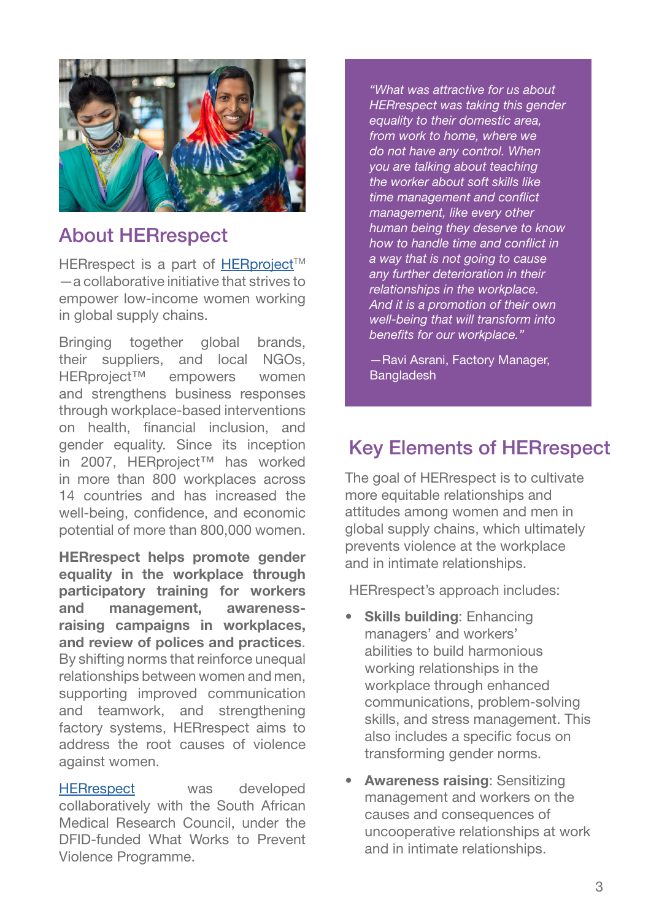

### About HERrespect

HERrespect is a part of HERproject™ —a collaborative initiative that strives to empower low-income women working in global supply chains.

Bringing together global brands, their suppliers, and local NGOs, HERproject™ empowers women and strengthens business responses through workplace-based interventions on health, financial inclusion, and gender equality. Since its inception in 2007, HERproject™ has worked in more than 800 workplaces across 14 countries and has increased the well-being, confidence, and economic potential of more than 800,000 women.

HERrespect helps promote gender equality in the workplace through participatory training for workers and management, awarenessraising campaigns in workplaces, and review of polices and practices. By shifting norms that reinforce unequal relationships between women and men, supporting improved communication and teamwork, and strengthening factory systems, HERrespect aims to address the root causes of violence against women.

[HERrespect](https://www.whatworks.co.za/resources/vawg-prevention-curricula#herrespect-bangladesh) was developed collaboratively with the South African Medical Research Council, under the DFID-funded What Works to Prevent Violence Programme.

*"What was attractive for us about HERrespect was taking this gender equality to their domestic area, from work to home, where we do not have any control. When you are talking about teaching the worker about soft skills like time management and conflict management, like every other human being they deserve to know how to handle time and conflict in a way that is not going to cause any further deterioration in their relationships in the workplace. And it is a promotion of their own well-being that will transform into benefits for our workplace."*

—Ravi Asrani, Factory Manager, **Bangladesh** 

# Key Elements of HERrespect

The goal of HERrespect is to cultivate more equitable relationships and attitudes among women and men in global supply chains, which ultimately prevents violence at the workplace and in intimate relationships.

HERrespect's approach includes:

- **Skills building: Enhancing** managers' and workers' abilities to build harmonious working relationships in the workplace through enhanced communications, problem-solving skills, and stress management. This also includes a specific focus on transforming gender norms.
- **Awareness raising: Sensitizing** management and workers on the causes and consequences of uncooperative relationships at work and in intimate relationships.